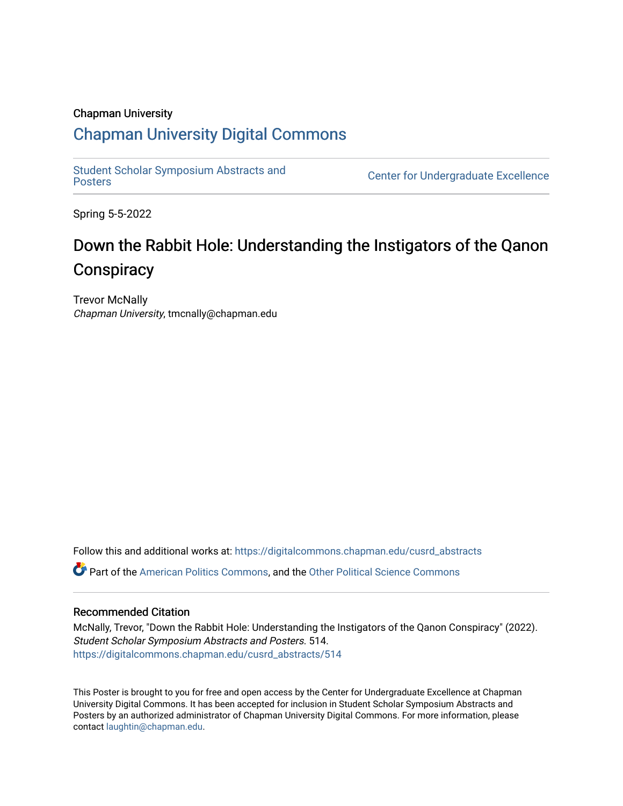### Chapman University

### [Chapman University Digital Commons](https://digitalcommons.chapman.edu/)

[Student Scholar Symposium Abstracts and](https://digitalcommons.chapman.edu/cusrd_abstracts) 

**Center for Undergraduate Excellence** 

Spring 5-5-2022

### Down the Rabbit Hole: Understanding the Instigators of the Qanon **Conspiracy**

Trevor McNally Chapman University, tmcnally@chapman.edu

Follow this and additional works at: [https://digitalcommons.chapman.edu/cusrd\\_abstracts](https://digitalcommons.chapman.edu/cusrd_abstracts?utm_source=digitalcommons.chapman.edu%2Fcusrd_abstracts%2F514&utm_medium=PDF&utm_campaign=PDFCoverPages) 

Part of the [American Politics Commons,](http://network.bepress.com/hgg/discipline/387?utm_source=digitalcommons.chapman.edu%2Fcusrd_abstracts%2F514&utm_medium=PDF&utm_campaign=PDFCoverPages) and the [Other Political Science Commons](http://network.bepress.com/hgg/discipline/392?utm_source=digitalcommons.chapman.edu%2Fcusrd_abstracts%2F514&utm_medium=PDF&utm_campaign=PDFCoverPages)

### Recommended Citation

McNally, Trevor, "Down the Rabbit Hole: Understanding the Instigators of the Qanon Conspiracy" (2022). Student Scholar Symposium Abstracts and Posters. 514. [https://digitalcommons.chapman.edu/cusrd\\_abstracts/514](https://digitalcommons.chapman.edu/cusrd_abstracts/514?utm_source=digitalcommons.chapman.edu%2Fcusrd_abstracts%2F514&utm_medium=PDF&utm_campaign=PDFCoverPages) 

This Poster is brought to you for free and open access by the Center for Undergraduate Excellence at Chapman University Digital Commons. It has been accepted for inclusion in Student Scholar Symposium Abstracts and Posters by an authorized administrator of Chapman University Digital Commons. For more information, please contact [laughtin@chapman.edu](mailto:laughtin@chapman.edu).